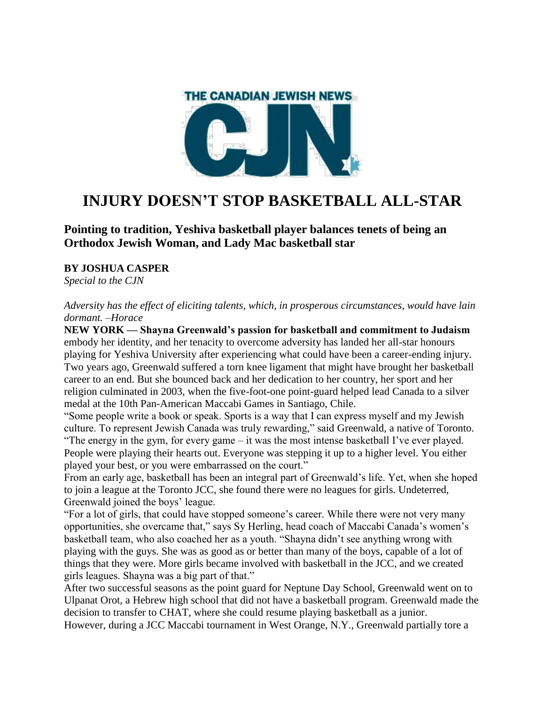

## **INJURY DOESN'T STOP BASKETBALL ALL-STAR**

**Pointing to tradition, Yeshiva basketball player balances tenets of being an Orthodox Jewish Woman, and Lady Mac basketball star**

## **BY JOSHUA CASPER**

*Special to the CJN*

*Adversity has the effect of eliciting talents, which, in prosperous circumstances, would have lain dormant. –Horace*

**NEW YORK — Shayna Greenwald's passion for basketball and commitment to Judaism**  embody her identity, and her tenacity to overcome adversity has landed her all-star honours playing for Yeshiva University after experiencing what could have been a career-ending injury. Two years ago, Greenwald suffered a torn knee ligament that might have brought her basketball career to an end. But she bounced back and her dedication to her country, her sport and her religion culminated in 2003, when the five-foot-one point-guard helped lead Canada to a silver medal at the 10th Pan-American Maccabi Games in Santiago, Chile.

"Some people write a book or speak. Sports is a way that I can express myself and my Jewish culture. To represent Jewish Canada was truly rewarding," said Greenwald, a native of Toronto. "The energy in the gym, for every game – it was the most intense basketball I've ever played. People were playing their hearts out. Everyone was stepping it up to a higher level. You either played your best, or you were embarrassed on the court."

From an early age, basketball has been an integral part of Greenwald's life. Yet, when she hoped to join a league at the Toronto JCC, she found there were no leagues for girls. Undeterred, Greenwald joined the boys' league.

"For a lot of girls, that could have stopped someone's career. While there were not very many opportunities, she overcame that," says Sy Herling, head coach of Maccabi Canada's women's basketball team, who also coached her as a youth. "Shayna didn't see anything wrong with playing with the guys. She was as good as or better than many of the boys, capable of a lot of things that they were. More girls became involved with basketball in the JCC, and we created girls leagues. Shayna was a big part of that."

After two successful seasons as the point guard for Neptune Day School, Greenwald went on to Ulpanat Orot, a Hebrew high school that did not have a basketball program. Greenwald made the decision to transfer to CHAT, where she could resume playing basketball as a junior. However, during a JCC Maccabi tournament in West Orange, N.Y., Greenwald partially tore a